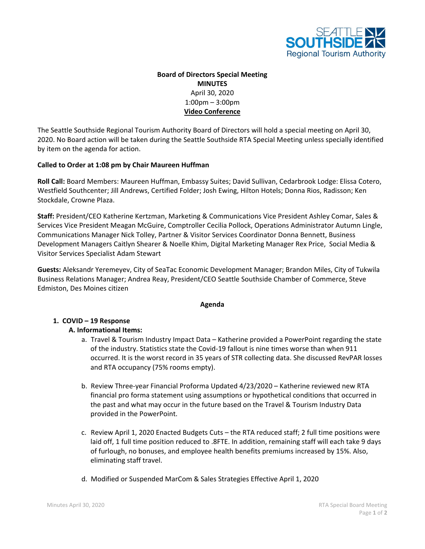

# **Board of Directors Special Meeting MINUTES** April 30, 2020 1:00pm – 3:00pm **Video Conference**

The Seattle Southside Regional Tourism Authority Board of Directors will hold a special meeting on April 30, 2020. No Board action will be taken during the Seattle Southside RTA Special Meeting unless specially identified by item on the agenda for action.

#### **Called to Order at 1:08 pm by Chair Maureen Huffman**

**Roll Call:** Board Members: Maureen Huffman, Embassy Suites; David Sullivan, Cedarbrook Lodge: Elissa Cotero, Westfield Southcenter; Jill Andrews, Certified Folder; Josh Ewing, Hilton Hotels; Donna Rios, Radisson; Ken Stockdale, Crowne Plaza.

**Staff:** President/CEO Katherine Kertzman, Marketing & Communications Vice President Ashley Comar, Sales & Services Vice President Meagan McGuire, Comptroller Cecilia Pollock, Operations Administrator Autumn Lingle, Communications Manager Nick Tolley, Partner & Visitor Services Coordinator Donna Bennett, Business Development Managers Caitlyn Shearer & Noelle Khim, Digital Marketing Manager Rex Price, Social Media & Visitor Services Specialist Adam Stewart

**Guests:** Aleksandr Yeremeyev, City of SeaTac Economic Development Manager; Brandon Miles, City of Tukwila Business Relations Manager; Andrea Reay, President/CEO Seattle Southside Chamber of Commerce, Steve Edmiston, Des Moines citizen

#### **Agenda**

## **1. COVID – 19 Response**

## **A. Informational Items:**

- a. Travel & Tourism Industry Impact Data Katherine provided a PowerPoint regarding the state of the industry. Statistics state the Covid-19 fallout is nine times worse than when 911 occurred. It is the worst record in 35 years of STR collecting data. She discussed RevPAR losses and RTA occupancy (75% rooms empty).
- b. Review Three-year Financial Proforma Updated 4/23/2020 Katherine reviewed new RTA financial pro forma statement using assumptions or hypothetical conditions that occurred in the past and what may occur in the future based on the Travel & Tourism Industry Data provided in the PowerPoint.
- c. Review April 1, 2020 Enacted Budgets Cuts the RTA reduced staff; 2 full time positions were laid off, 1 full time position reduced to .8FTE. In addition, remaining staff will each take 9 days of furlough, no bonuses, and employee health benefits premiums increased by 15%. Also, eliminating staff travel.
- d. Modified or Suspended MarCom & Sales Strategies Effective April 1, 2020